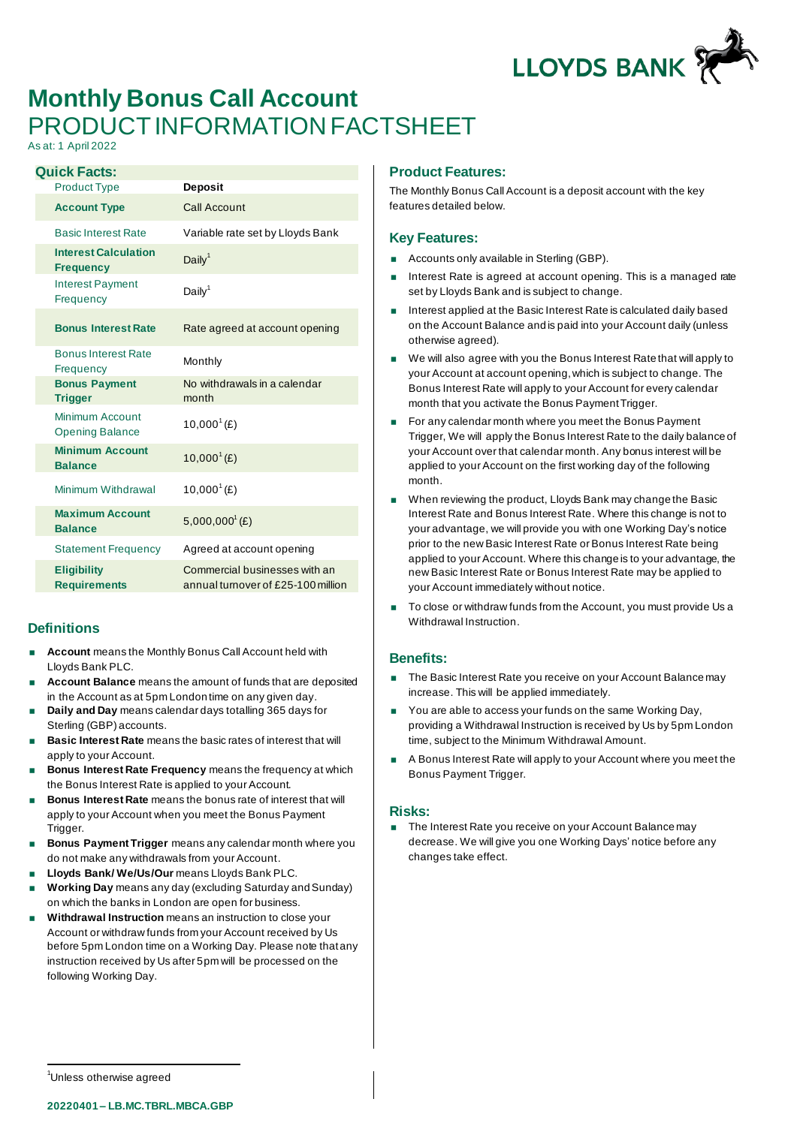

# **Monthly Bonus Call Account** PRODUCT INFORMATION FACTSHEET

As at: 1 April 2022

| <b>Quick Facts:</b> |                                                 |                                                                     |
|---------------------|-------------------------------------------------|---------------------------------------------------------------------|
|                     | <b>Product Type</b>                             | <b>Deposit</b>                                                      |
|                     | <b>Account Type</b>                             | Call Account                                                        |
|                     | <b>Basic Interest Rate</b>                      | Variable rate set by Lloyds Bank                                    |
|                     | <b>Interest Calculation</b><br><b>Frequency</b> | Daily <sup>1</sup>                                                  |
|                     | <b>Interest Payment</b><br>Frequency            | Daily <sup>1</sup>                                                  |
|                     | <b>Bonus Interest Rate</b>                      | Rate agreed at account opening                                      |
|                     | <b>Bonus Interest Rate</b><br>Frequency         | Monthly                                                             |
|                     | <b>Bonus Payment</b><br><b>Trigger</b>          | No withdrawals in a calendar<br>month                               |
|                     | Minimum Account<br><b>Opening Balance</b>       | $10,000^1$ (£)                                                      |
|                     | <b>Minimum Account</b><br><b>Balance</b>        | 10,000 <sup>1</sup> $(E)$                                           |
|                     | Minimum Withdrawal                              | 10,000 <sup>1</sup> $(E)$                                           |
|                     | <b>Maximum Account</b><br><b>Balance</b>        | $5,000,000^{1}$ $(E)$                                               |
|                     | <b>Statement Frequency</b>                      | Agreed at account opening                                           |
|                     | <b>Eligibility</b><br><b>Requirements</b>       | Commercial businesses with an<br>annual turnover of £25-100 million |

## **Definitions**

- **Account** means the Monthly Bonus Call Account held with Lloyds Bank PLC.
- **Account Balance** means the amount of funds that are deposited in the Account as at 5pm London time on any given day.
- **Daily and Day** means calendar days totalling 365 days for Sterling (GBP) accounts.
- **Basic Interest Rate** means the basic rates of interest that will apply to your Account.
- **Bonus Interest Rate Frequency** means the frequency at which the Bonus Interest Rate is applied to your Account.
- **Bonus Interest Rate** means the bonus rate of interest that will apply to your Account when you meet the Bonus Payment Trigger.
- **Bonus Payment Trigger** means any calendar month where you do not make any withdrawals from your Account.
- **Lloyds Bank/ We/Us/Our** means Lloyds Bank PLC.
- **Working Day** means any day (excluding Saturday and Sunday) on which the banks in London are open for business.
- **Withdrawal Instruction** means an instruction to close your Account or withdraw funds from your Account received by Us before 5pm London time on a Working Day. Please note that any instruction received by Us after 5pm will be processed on the following Working Day.

### **Product Features:**

The Monthly Bonus Call Account is a deposit account with the key features detailed below.

### **Key Features:**

- Accounts only available in Sterling (GBP).
- Interest Rate is agreed at account opening. This is a managed rate set by Lloyds Bank and is subject to change.
- Interest applied at the Basic Interest Rate is calculated daily based on the Account Balance and is paid into your Account daily (unless otherwise agreed).
- We will also agree with you the Bonus Interest Rate that will apply to your Account at account opening, which is subject to change. The Bonus Interest Rate will apply to your Account for every calendar month that you activate the Bonus Payment Trigger.
- For any calendar month where you meet the Bonus Payment Trigger, We will apply the Bonus Interest Rate to the daily balance of your Account over that calendar month. Any bonus interest will be applied to your Account on the first working day of the following month.
- When reviewing the product, Lloyds Bank may change the Basic Interest Rate and Bonus Interest Rate. Where this change is not to your advantage, we will provide you with one Working Day's notice prior to the new Basic Interest Rate or Bonus Interest Rate being applied to your Account. Where this change is to your advantage, the new Basic Interest Rate or Bonus Interest Rate may be applied to your Account immediately without notice.
- To close or withdraw funds from the Account, you must provide Us a Withdrawal Instruction.

## **Benefits:**

- The Basic Interest Rate you receive on your Account Balance may increase. This will be applied immediately.
- You are able to access your funds on the same Working Day, providing a Withdrawal Instruction is received by Us by 5pm London time, subject to the Minimum Withdrawal Amount.
- A Bonus Interest Rate will apply to your Account where you meet the Bonus Payment Trigger.

### **Risks:**

 The Interest Rate you receive on your Account Balance may decrease. We will give you one Working Days' notice before any changes take effect.

<sup>&</sup>lt;sup>1</sup>Unless otherwise agreed